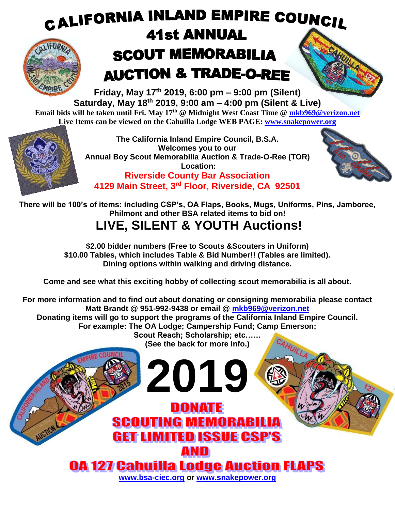

**Friday, May 17th 2019, 6:00 pm – 9:00 pm (Silent) Saturday, May 18th 2019, 9:00 am – 4:00 pm (Silent & Live) Email bids will be taken until Fri. May 17th @ Midnight West Coast Time @ [mkb969@verizon.net](mailto:mkb969@verizon.net) Live Items can be viewed on the Cahuilla Lodge WEB PAGE: [www.snakepower.org](http://www.snakepower.org/)**



**The California Inland Empire Council, B.S.A. Welcomes you to our Annual Boy Scout Memorabilia Auction & Trade-O-Ree (TOR) Location:**





**There will be 100's of items: including CSP's, OA Flaps, Books, Mugs, Uniforms, Pins, Jamboree, Philmont and other BSA related items to bid on!**

## **LIVE, SILENT & YOUTH Auctions!**

**\$2.00 bidder numbers (Free to Scouts &Scouters in Uniform) \$10.00 Tables, which includes Table & Bid Number!! (Tables are limited). Dining options within walking and driving distance.**

**Come and see what this exciting hobby of collecting scout memorabilia is all about.**

**For more information and to find out about donating or consigning memorabilia please contact Matt Brandt @ 951-992-9438 or email @ [mkb969@verizon.net](mailto:mkb969@verizon.net) Donating items will go to support the programs of the California Inland Empire Council.**

**For example: The OA Lodge; Campership Fund; Camp Emerson;** 

**Scout Reach; Scholarship; etc…… (See the back for more info.)**

CAHUILLA

**2019**

**DONATE** 

**SCOUTING MEMORABILIA** 

**GET LIMITED ISSUE CSP'S** 

AND

**[www.bsa-ciec.org](http://www.bsa-ciec.org/) or [www.snakepower.org](http://www.snakepower.org/)**

**0A 127 Cahuilla Lodge Auction FLAPS**